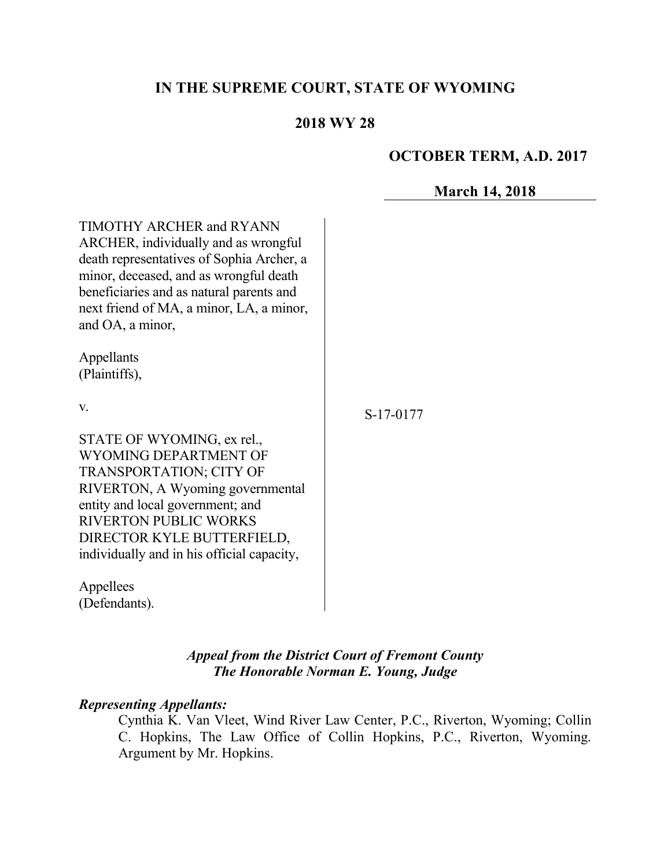# **IN THE SUPREME COURT, STATE OF WYOMING**

# **2018 WY 28**

### **OCTOBER TERM, A.D. 2017**

## **March 14, 2018**

TIMOTHY ARCHER and RYANN ARCHER, individually and as wrongful death representatives of Sophia Archer, a minor, deceased, and as wrongful death beneficiaries and as natural parents and next friend of MA, a minor, LA, a minor, and OA, a minor,

Appellants (Plaintiffs),

v.

STATE OF WYOMING, ex rel., WYOMING DEPARTMENT OF TRANSPORTATION; CITY OF RIVERTON, A Wyoming governmental entity and local government; and RIVERTON PUBLIC WORKS DIRECTOR KYLE BUTTERFIELD, individually and in his official capacity,

Appellees (Defendants). S-17-0177

## *Appeal from the District Court of Fremont County The Honorable Norman E. Young, Judge*

#### *Representing Appellants:*

Cynthia K. Van Vleet, Wind River Law Center, P.C., Riverton, Wyoming; Collin C. Hopkins, The Law Office of Collin Hopkins, P.C., Riverton, Wyoming. Argument by Mr. Hopkins.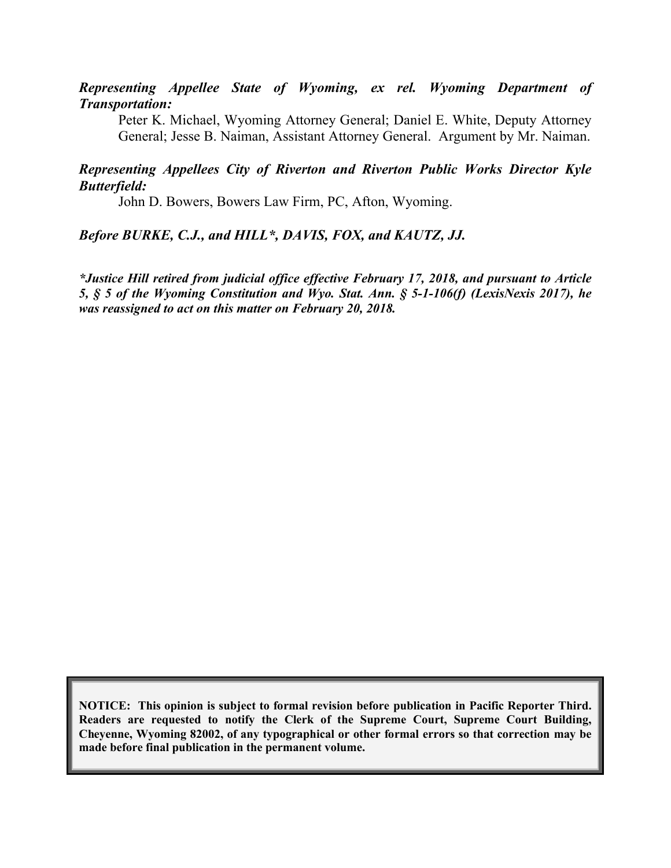### *Representing Appellee State of Wyoming, ex rel. Wyoming Department of Transportation:*

Peter K. Michael, Wyoming Attorney General; Daniel E. White, Deputy Attorney General; Jesse B. Naiman, Assistant Attorney General. Argument by Mr. Naiman.

### *Representing Appellees City of Riverton and Riverton Public Works Director Kyle Butterfield:*

John D. Bowers, Bowers Law Firm, PC, Afton, Wyoming.

### *Before BURKE, C.J., and HILL\*, DAVIS, FOX, and KAUTZ, JJ.*

*\*Justice Hill retired from judicial office effective February 17, 2018, and pursuant to Article 5, § 5 of the Wyoming Constitution and Wyo. Stat. Ann. § 5-1-106(f) (LexisNexis 2017), he was reassigned to act on this matter on February 20, 2018.*

**NOTICE: This opinion is subject to formal revision before publication in Pacific Reporter Third. Readers are requested to notify the Clerk of the Supreme Court, Supreme Court Building, Cheyenne, Wyoming 82002, of any typographical or other formal errors so that correction may be made before final publication in the permanent volume.**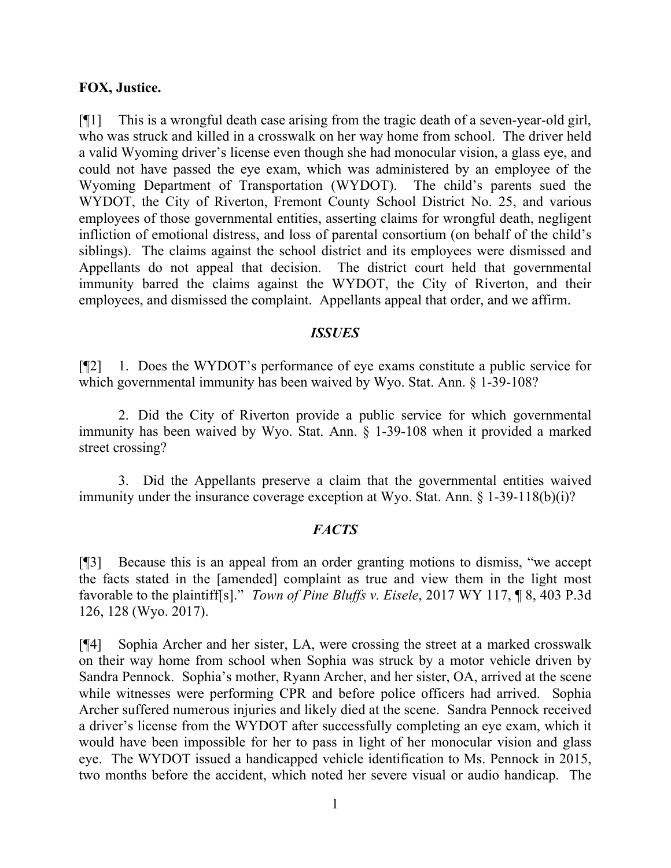#### **FOX, Justice.**

[¶1] This is a wrongful death case arising from the tragic death of a seven-year-old girl, who was struck and killed in a crosswalk on her way home from school. The driver held a valid Wyoming driver's license even though she had monocular vision, a glass eye, and could not have passed the eye exam, which was administered by an employee of the Wyoming Department of Transportation (WYDOT). The child's parents sued the WYDOT, the City of Riverton, Fremont County School District No. 25, and various employees of those governmental entities, asserting claims for wrongful death, negligent infliction of emotional distress, and loss of parental consortium (on behalf of the child's siblings). The claims against the school district and its employees were dismissed and Appellants do not appeal that decision. The district court held that governmental immunity barred the claims against the WYDOT, the City of Riverton, and their employees, and dismissed the complaint. Appellants appeal that order, and we affirm.

#### *ISSUES*

[¶2] 1. Does the WYDOT's performance of eye exams constitute a public service for which governmental immunity has been waived by Wyo. Stat. Ann. § 1-39-108?

2. Did the City of Riverton provide a public service for which governmental immunity has been waived by Wyo. Stat. Ann. § 1-39-108 when it provided a marked street crossing?

3. Did the Appellants preserve a claim that the governmental entities waived immunity under the insurance coverage exception at Wyo. Stat. Ann. § 1-39-118(b)(i)?

#### *FACTS*

[¶3] Because this is an appeal from an order granting motions to dismiss, "we accept the facts stated in the [amended] complaint as true and view them in the light most favorable to the plaintiff[s]." *Town of Pine Bluffs v. Eisele*, 2017 WY 117, ¶ 8, 403 P.3d 126, 128 (Wyo. 2017).

[¶4] Sophia Archer and her sister, LA, were crossing the street at a marked crosswalk on their way home from school when Sophia was struck by a motor vehicle driven by Sandra Pennock. Sophia's mother, Ryann Archer, and her sister, OA, arrived at the scene while witnesses were performing CPR and before police officers had arrived. Sophia Archer suffered numerous injuries and likely died at the scene. Sandra Pennock received a driver's license from the WYDOT after successfully completing an eye exam, which it would have been impossible for her to pass in light of her monocular vision and glass eye. The WYDOT issued a handicapped vehicle identification to Ms. Pennock in 2015, two months before the accident, which noted her severe visual or audio handicap. The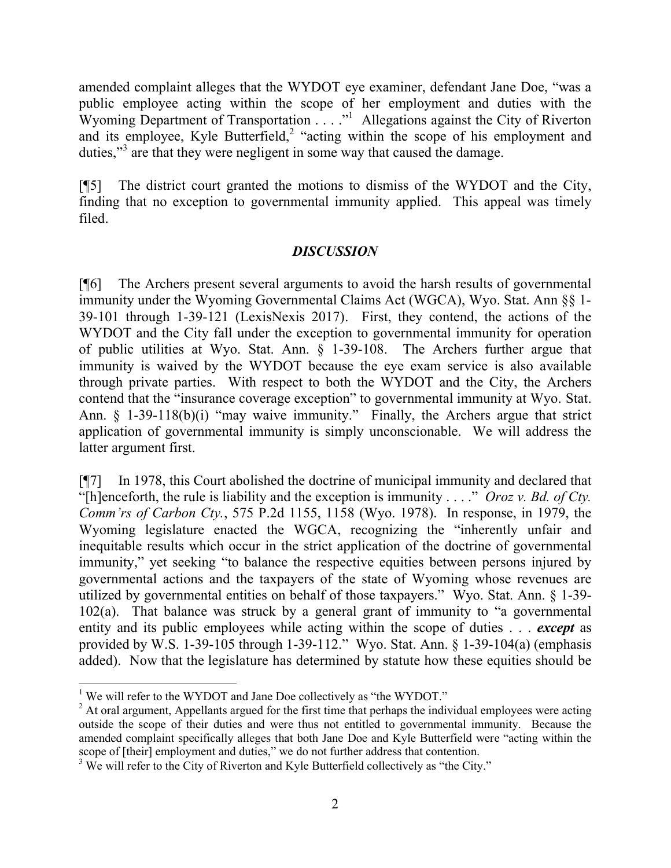amended complaint alleges that the WYDOT eye examiner, defendant Jane Doe, "was a public employee acting within the scope of her employment and duties with the Wyoming Department of Transportation . . . ."<sup>1</sup> Allegations against the City of Riverton and its employee, Kyle Butterfield,<sup>2</sup> "acting within the scope of his employment and duties,"<sup>3</sup> are that they were negligent in some way that caused the damage.

[¶5] The district court granted the motions to dismiss of the WYDOT and the City, finding that no exception to governmental immunity applied. This appeal was timely filed.

## *DISCUSSION*

[¶6] The Archers present several arguments to avoid the harsh results of governmental immunity under the Wyoming Governmental Claims Act (WGCA), Wyo. Stat. Ann §§ 1- 39-101 through 1-39-121 (LexisNexis 2017). First, they contend, the actions of the WYDOT and the City fall under the exception to governmental immunity for operation of public utilities at Wyo. Stat. Ann. § 1-39-108. The Archers further argue that immunity is waived by the WYDOT because the eye exam service is also available through private parties. With respect to both the WYDOT and the City, the Archers contend that the "insurance coverage exception" to governmental immunity at Wyo. Stat. Ann. § 1-39-118(b)(i) "may waive immunity." Finally, the Archers argue that strict application of governmental immunity is simply unconscionable. We will address the latter argument first.

[¶7] In 1978, this Court abolished the doctrine of municipal immunity and declared that "[h]enceforth, the rule is liability and the exception is immunity . . . ." *Oroz v. Bd. of Cty. Comm'rs of Carbon Cty.*, 575 P.2d 1155, 1158 (Wyo. 1978). In response, in 1979, the Wyoming legislature enacted the WGCA, recognizing the "inherently unfair and inequitable results which occur in the strict application of the doctrine of governmental immunity," yet seeking "to balance the respective equities between persons injured by governmental actions and the taxpayers of the state of Wyoming whose revenues are utilized by governmental entities on behalf of those taxpayers." Wyo. Stat. Ann. § 1-39- 102(a). That balance was struck by a general grant of immunity to "a governmental entity and its public employees while acting within the scope of duties . . . *except* as provided by W.S. 1-39-105 through 1-39-112." Wyo. Stat. Ann. § 1-39-104(a) (emphasis added). Now that the legislature has determined by statute how these equities should be

 <sup>1</sup> We will refer to the WYDOT and Jane Doe collectively as "the WYDOT."

 $2<sup>2</sup>$  At oral argument, Appellants argued for the first time that perhaps the individual employees were acting outside the scope of their duties and were thus not entitled to governmental immunity. Because the amended complaint specifically alleges that both Jane Doe and Kyle Butterfield were "acting within the scope of [their] employment and duties," we do not further address that contention.

<sup>&</sup>lt;sup>3</sup> We will refer to the City of Riverton and Kyle Butterfield collectively as "the City."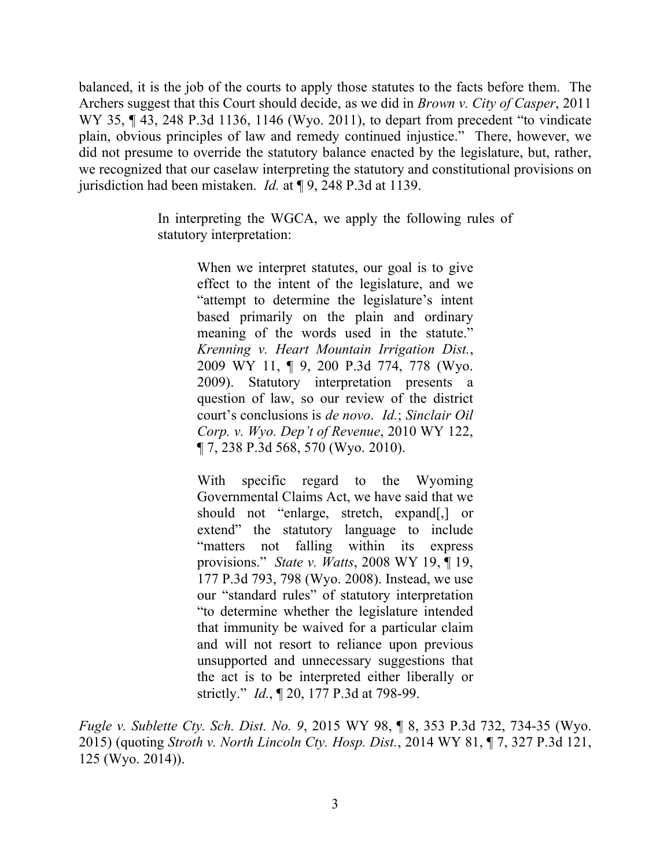balanced, it is the job of the courts to apply those statutes to the facts before them. The Archers suggest that this Court should decide, as we did in *Brown v. City of Casper*, 2011 WY 35, ¶ 43, 248 P.3d 1136, 1146 (Wyo. 2011), to depart from precedent "to vindicate plain, obvious principles of law and remedy continued injustice." There, however, we did not presume to override the statutory balance enacted by the legislature, but, rather, we recognized that our caselaw interpreting the statutory and constitutional provisions on jurisdiction had been mistaken. *Id.* at ¶ 9, 248 P.3d at 1139.

> In interpreting the WGCA, we apply the following rules of statutory interpretation:

> > When we interpret statutes, our goal is to give effect to the intent of the legislature, and we "attempt to determine the legislature's intent based primarily on the plain and ordinary meaning of the words used in the statute." *Krenning v. Heart Mountain Irrigation Dist.*, 2009 WY 11, ¶ 9, 200 P.3d 774, 778 (Wyo. 2009). Statutory interpretation presents a question of law, so our review of the district court's conclusions is *de novo*. *Id.*; *Sinclair Oil Corp. v. Wyo. Dep't of Revenue*, 2010 WY 122, ¶ 7, 238 P.3d 568, 570 (Wyo. 2010).

> > With specific regard to the Wyoming Governmental Claims Act, we have said that we should not "enlarge, stretch, expand[,] or extend" the statutory language to include "matters not falling within its express provisions." *State v. Watts*, 2008 WY 19, ¶ 19, 177 P.3d 793, 798 (Wyo. 2008). Instead, we use our "standard rules" of statutory interpretation "to determine whether the legislature intended that immunity be waived for a particular claim and will not resort to reliance upon previous unsupported and unnecessary suggestions that the act is to be interpreted either liberally or strictly." *Id.*, ¶ 20, 177 P.3d at 798-99.

*Fugle v. Sublette Cty. Sch. Dist. No. 9*, 2015 WY 98, ¶ 8, 353 P.3d 732, 734-35 (Wyo. 2015) (quoting *Stroth v. North Lincoln Cty. Hosp. Dist.*, 2014 WY 81, ¶ 7, 327 P.3d 121, 125 (Wyo. 2014)).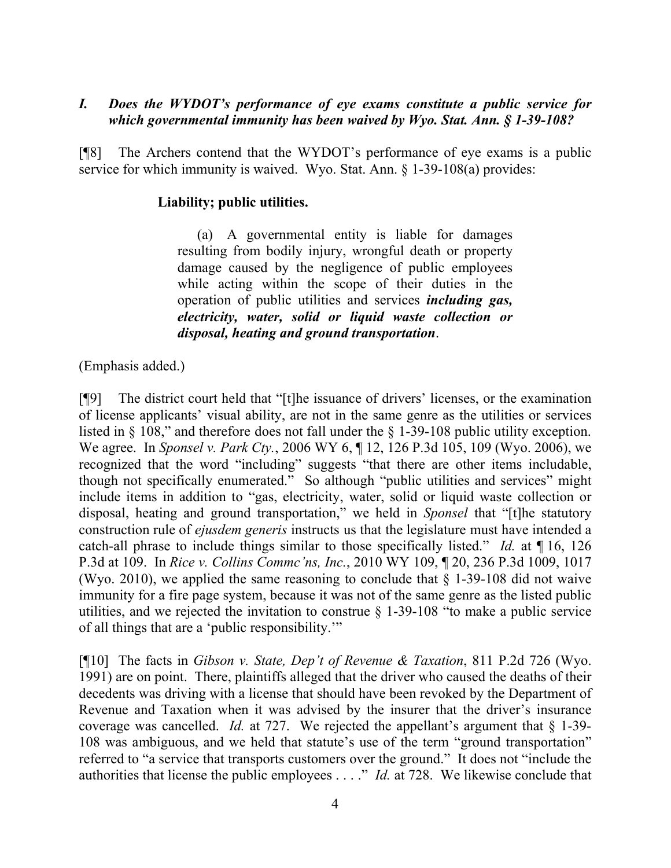## *I. Does the WYDOT's performance of eye exams constitute a public service for which governmental immunity has been waived by Wyo. Stat. Ann. § 1-39-108?*

[¶8] The Archers contend that the WYDOT's performance of eye exams is a public service for which immunity is waived. Wyo. Stat. Ann. § 1-39-108(a) provides:

### **Liability; public utilities.**

(a) A governmental entity is liable for damages resulting from bodily injury, wrongful death or property damage caused by the negligence of public employees while acting within the scope of their duties in the operation of public utilities and services *including gas, electricity, water, solid or liquid waste collection or disposal, heating and ground transportation*.

(Emphasis added.)

[¶9] The district court held that "[t]he issuance of drivers' licenses, or the examination of license applicants' visual ability, are not in the same genre as the utilities or services listed in § 108," and therefore does not fall under the § 1-39-108 public utility exception. We agree. In *Sponsel v. Park Cty.*, 2006 WY 6, ¶ 12, 126 P.3d 105, 109 (Wyo. 2006), we recognized that the word "including" suggests "that there are other items includable, though not specifically enumerated." So although "public utilities and services" might include items in addition to "gas, electricity, water, solid or liquid waste collection or disposal, heating and ground transportation," we held in *Sponsel* that "[t]he statutory construction rule of *ejusdem generis* instructs us that the legislature must have intended a catch-all phrase to include things similar to those specifically listed." *Id.* at ¶ 16, 126 P.3d at 109. In *Rice v. Collins Commc'ns, Inc.*, 2010 WY 109, ¶ 20, 236 P.3d 1009, 1017 (Wyo. 2010), we applied the same reasoning to conclude that  $\S$  1-39-108 did not waive immunity for a fire page system, because it was not of the same genre as the listed public utilities, and we rejected the invitation to construe § 1-39-108 "to make a public service of all things that are a 'public responsibility.'"

[¶10] The facts in *Gibson v. State, Dep't of Revenue & Taxation*, 811 P.2d 726 (Wyo. 1991) are on point. There, plaintiffs alleged that the driver who caused the deaths of their decedents was driving with a license that should have been revoked by the Department of Revenue and Taxation when it was advised by the insurer that the driver's insurance coverage was cancelled. *Id.* at 727. We rejected the appellant's argument that § 1-39- 108 was ambiguous, and we held that statute's use of the term "ground transportation" referred to "a service that transports customers over the ground." It does not "include the authorities that license the public employees . . . ." *Id.* at 728. We likewise conclude that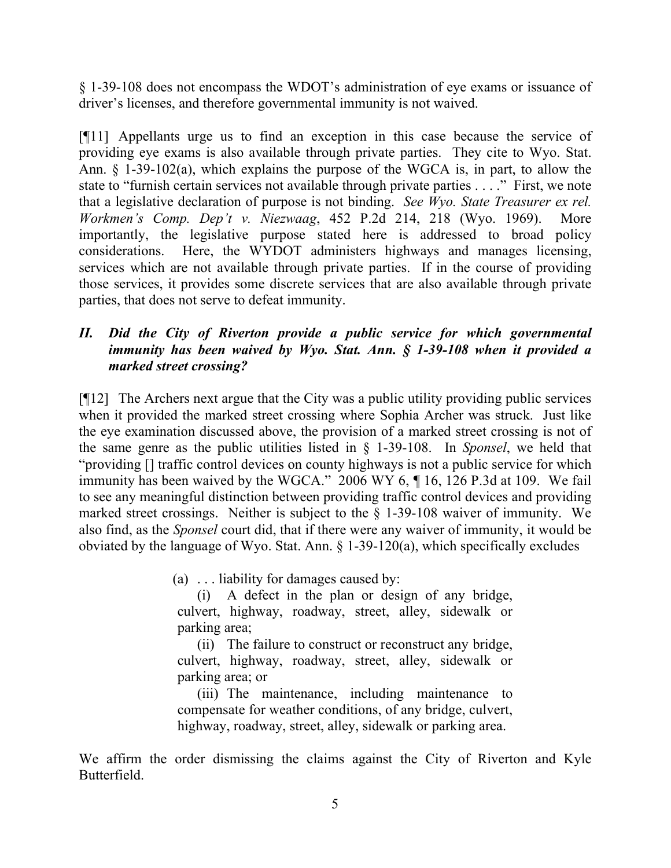§ 1-39-108 does not encompass the WDOT's administration of eye exams or issuance of driver's licenses, and therefore governmental immunity is not waived.

[¶11] Appellants urge us to find an exception in this case because the service of providing eye exams is also available through private parties. They cite to Wyo. Stat. Ann. § 1-39-102(a), which explains the purpose of the WGCA is, in part, to allow the state to "furnish certain services not available through private parties . . . ." First, we note that a legislative declaration of purpose is not binding. *See Wyo. State Treasurer ex rel. Workmen's Comp. Dep't v. Niezwaag*, 452 P.2d 214, 218 (Wyo. 1969). More importantly, the legislative purpose stated here is addressed to broad policy considerations. Here, the WYDOT administers highways and manages licensing, services which are not available through private parties. If in the course of providing those services, it provides some discrete services that are also available through private parties, that does not serve to defeat immunity.

# *II. Did the City of Riverton provide a public service for which governmental immunity has been waived by Wyo. Stat. Ann. § 1-39-108 when it provided a marked street crossing?*

[¶12] The Archers next argue that the City was a public utility providing public services when it provided the marked street crossing where Sophia Archer was struck. Just like the eye examination discussed above, the provision of a marked street crossing is not of the same genre as the public utilities listed in § 1-39-108. In *Sponsel*, we held that "providing [] traffic control devices on county highways is not a public service for which immunity has been waived by the WGCA." 2006 WY 6, ¶ 16, 126 P.3d at 109. We fail to see any meaningful distinction between providing traffic control devices and providing marked street crossings. Neither is subject to the § 1-39-108 waiver of immunity. We also find, as the *Sponsel* court did, that if there were any waiver of immunity, it would be obviated by the language of Wyo. Stat. Ann. § 1-39-120(a), which specifically excludes

(a) . . . liability for damages caused by:

(i) A defect in the plan or design of any bridge, culvert, highway, roadway, street, alley, sidewalk or parking area;

(ii) The failure to construct or reconstruct any bridge, culvert, highway, roadway, street, alley, sidewalk or parking area; or

(iii) The maintenance, including maintenance to compensate for weather conditions, of any bridge, culvert, highway, roadway, street, alley, sidewalk or parking area.

We affirm the order dismissing the claims against the City of Riverton and Kyle Butterfield.